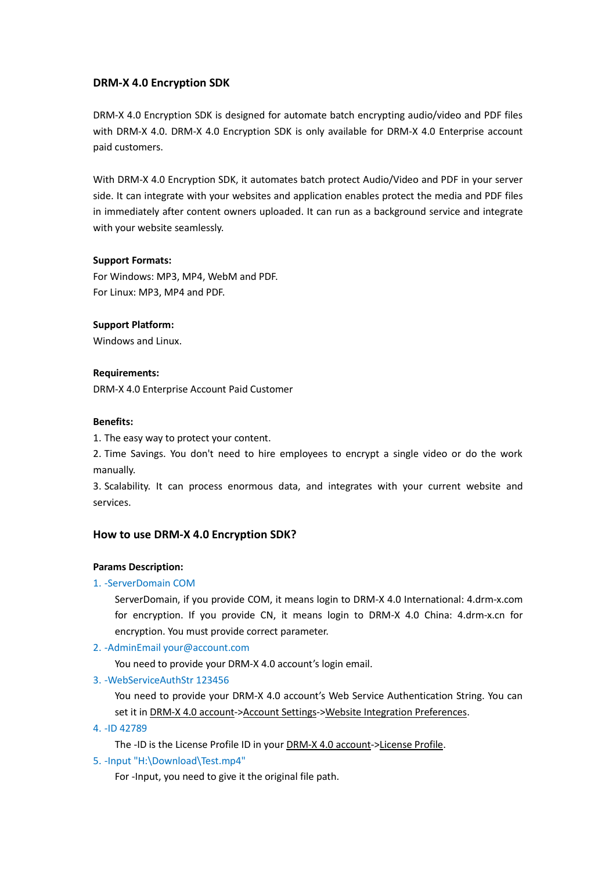# **DRM-X 4.0 Encryption SDK**

DRM-X 4.0 Encryption SDK is designed for automate batch encrypting audio/video and PDF files with DRM-X 4.0. DRM-X 4.0 Encryption SDK is only available for DRM-X 4.0 Enterprise account paid customers.

With DRM-X 4.0 Encryption SDK, it automates batch protect Audio/Video and PDF in your server side. It can integrate with your websites and application enables protect the media and PDF files in immediately after content owners uploaded. It can run as a background service and integrate with your website seamlessly.

## **Support Formats:**

For Windows: MP3, MP4, WebM and PDF. For Linux: MP3, MP4 and PDF.

## **Support Platform:**

Windows and Linux.

### **Requirements:**

DRM-X 4.0 Enterprise Account Paid Customer

### **Benefits:**

1. The easy way to protect your content.

2. Time Savings. You don't need to hire employees to encrypt a single video or do the work manually.

3. Scalability. It can process enormous data, and integrates with your current website and services.

### **How to use DRM-X 4.0 Encryption SDK?**

### **Params Description:**

## 1. -ServerDomain COM

ServerDomain, if you provide COM, it means login to DRM-X 4.0 International: 4.drm-x.com for encryption. If you provide CN, it means login to DRM-X 4.0 China: 4.drm-x.cn for encryption. You must provide correct parameter.

### 2. -AdminEmail [your@account.com](mailto:your@account.com)

You need to provide your DRM-X 4.0 account's login email.

### 3. -WebServiceAuthStr 123456

You need to provide your DRM-X 4.0 account's Web Service Authentication String. You can set it in DRM-X 4.0 account->Account Settings->Website Integration Preferences.

### 4. -ID 42789

The -ID is the License Profile ID in your **DRM-X 4.0** account->License Profile.

5. -Input "H:\Download\Test.mp4"

For -Input, you need to give it the original file path.